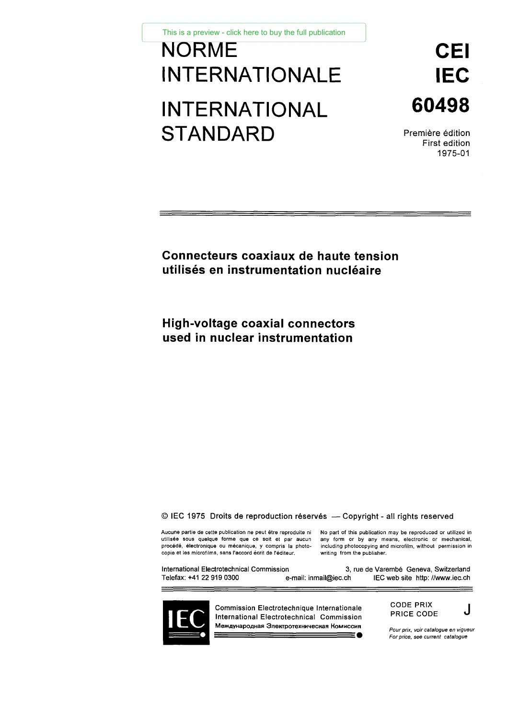This is a preview - click here to buy the full publication

# NORMECEI This is a preview - click here to buy the full publication<br>
INTERNATIONALE IEC<br>
INTERNATIONAL 60498<br>
STANDARD Première édition<br>
STANDARD Première édition This is a preview - click here to buy the full publication<br>INTERNATIONALE<br>INTERNATIONAL<br>STANDARD STANDARD Première édition

60498

First edition 1975-01

**Connecteurs coaxiaux de haute tension utilisés en instrumentation nucléaire**

**High-voltage coaxial connectors used in nuclear instrumentation**

© IEC 1975 Droits de reproduction réservés — Copyright - all rights reserved

C IEC 1975 Droits de reproduction réservés — Copyright - all rights reserved<br>Aucune partie de cette publication ne peut être reproduite ni No part of this publication may be reproduced or utilized in<br>utilisée sous quelque © IEC 1975 Droits de reproduction réservés — Copyright - all rights reserved<br>Aucune partie de cette publication ne peut être reproduite ni No part of this publication may be reproduced or utilized in<br>utilisée sous quelque Copyright –<br>Aucune partie de cette publication ne peut être reproduite ni No part of this publication<br>utilisée sous quelque forme que ce soit et par aucun any form or by any m<br>procédé, électronique ou mécanique, y compris

C IEC 1975 Droits de reproduction réservés — Copyright - all rights reserved<br>Aucune partie de cette publication ne peut être reproduite ni No part of this publication may be reproduced or utilized it<br>utilisée sous quelque CODE PRIX e de Varembé Geneva, Switzerlan<br>
IEC web site http://www.iec.com<br> **For price, see current catalogue**<br> **For price, see current catalogue**<br> **For price, see current catalogue** 



Commission Electrotechnique Internationale International Electrotechnical Commission **Men ayHapoRHaR 3neKTpoTe%HwiecnaR HoMHCCHR** t パ 三 ( |<br>| | i l i l

CODE PRIX PRICE CODE J

*Pour prix, voir catalogue en vigueur*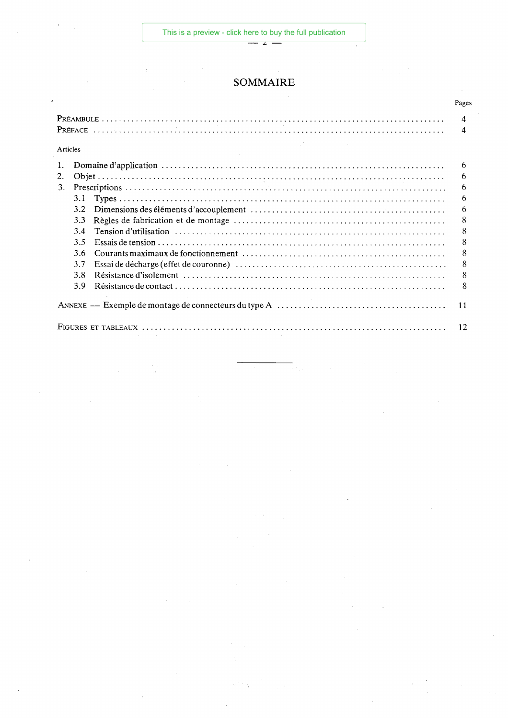Ń

# SOMMAIRE

2

 $\bar{z}$ 

|    |          | Pages          |
|----|----------|----------------|
|    |          | $\overline{4}$ |
|    |          | 4              |
|    | Articles |                |
| 1. |          | 6              |
| 2. |          | 6              |
| 3. |          | 6              |
|    | 3.1      | 6              |
|    | 3.2      | 6              |
|    | 3.3      | 8              |
|    | 34       | 8              |
|    | 3.5      | 8              |
|    | 3.6      | 8              |
|    | 3.7      | 8              |
|    | 3.8      | 8              |
|    | 3.9      | 8              |
|    |          | 11             |
|    |          | 12             |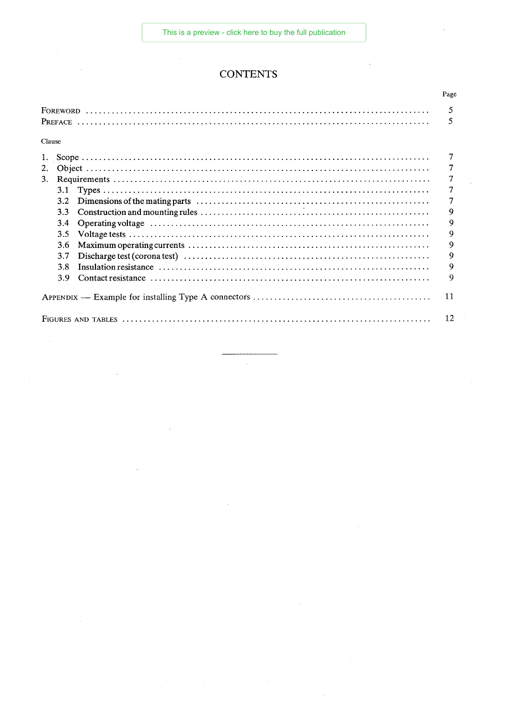[This is a preview - click here to buy the full publication](https://webstore.iec.ch/publication/2267&preview=1)

# **CONTENTS**

 $\bar{z}$ 

|        |  | Page |  |
|--------|--|------|--|
|        |  |      |  |
|        |  |      |  |
| Clause |  |      |  |
|        |  |      |  |
| 2.     |  | 7    |  |
| 3.     |  |      |  |
| 3.1    |  |      |  |
| 3.2    |  |      |  |
| 3.3    |  | 9    |  |
| 3.4    |  | 9    |  |
| 3.5    |  | 9    |  |
| 3.6    |  | 9    |  |
| 3.7    |  | 9    |  |
| 3.8    |  | 9    |  |
| 3.9    |  | 9    |  |
|        |  |      |  |
|        |  |      |  |

 $\mathcal{L}$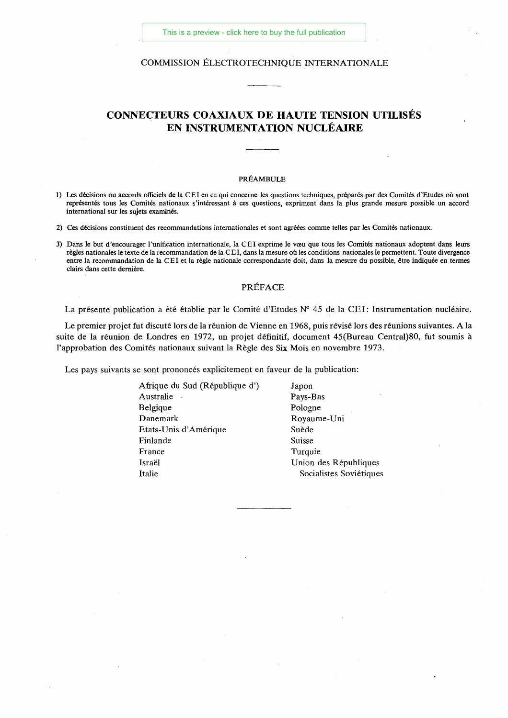### COMMISSION ÉLECTROTECHNIQUE INTERNATIONALE

# **CONNECTEURS COAXIAUX DE HAUTE TENSION UTILISÉS EN INSTRUMENTATION NUCLÉAIRE**

### PRÉAMBULE

- 1) Les décisions ou accords officiels de la CEI en ce qui concerne les questions techniques, préparés par des Comités d'Etudes où sont représentés tous les Comités nationaux s'intéressant à ces questions, expriment dans la plus grande mesure possible un accord international sur les sujets examinés.
- 2) Ces décisions constituent des recommandations internationales et sont agréées comme telles par les Comités nationaux.
- 3) Dans le but d'encourager l'unification internationale, la CEI exprime le vœu que tous les Comités nationaux adoptent dans leurs règles nationales le texte de la recommandation de la CEI, dans la mesure où les conditions nationales le permettent. Toute divergence entre la recommandation de la C E I et la règle nationale correspondante doit, dans la mesure du possible, être indiquée en termes clairs dans cette dernière.

### PRÉFACE

La présente publication a été établie par le Comité d'Etudes N° 45 de la CEI: Instrumentation nucléaire.

Le premier projet fut discuté lors de la réunion de Vienne en 1968, puis révisé lors des réunions suivantes. A la suite de la réunion de Londres en 1972, un projet définitif, document 45(Bureau Central)80, fut soumis à l'approbation des Comités nationaux suivant la Règle des Six Mois en novembre 1973.

Les pays suivants se sont prononcés explicitement en faveur de la publication:

| Afrique du Sud (République d') | Japon                   |
|--------------------------------|-------------------------|
| Australie                      | Pays-Bas                |
| Belgique                       | Pologne                 |
| Danemark                       | Royaume-Uni             |
| Etats-Unis d'Amérique          | Suède                   |
| Finlande                       | Suisse                  |
| France                         | Turquie                 |
| Israël                         | Union des Républiques   |
| Italie                         | Socialistes Soviétiques |
|                                |                         |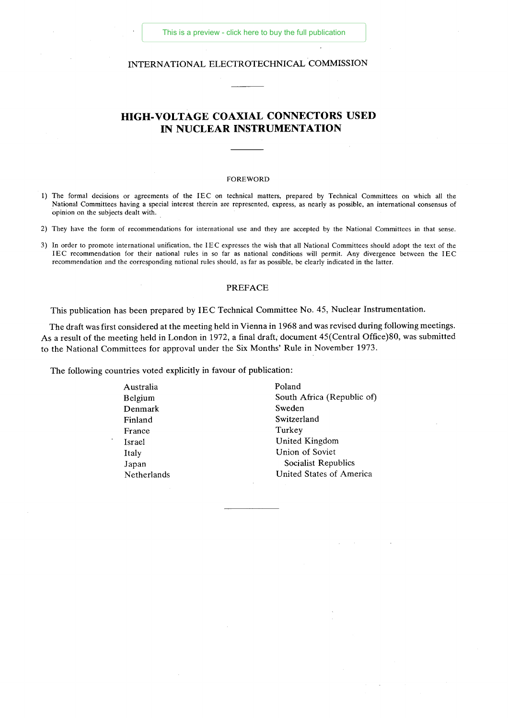# INTERNATIONAL ELECTROTECHNICAL COMMISSION

# **HIGH**-**VOLTAGE COAXIAL CONNECTORS USED IN NUCLEAR INSTRUMENTATION**

### FOREWORD

- 1) The formal decisions or agreements of the IEC on technical matters, prepared by Technical Committees on which all the National Committees having a special interest therein are represented, express, as nearly as possible, an international consensus of opinion on the subjects dealt with.
- 2) They have the form of recommendations for international use and they are accepted by the National Committees in that sense.
- 3) In order to promote international unification, the IEC expresses the wish that all National Committees should adopt the text of the IEC recommendation for their national rules in so far as national conditions will permit. Any divergence between the IEC recommendation and the corresponding national rules should, as far as possible, be clearly indicated in the latter.

### PREFACE

This publication has been prepared by IEC Technical Committee No. 45, Nuclear Instrumentation.

The draft was first considered at the meeting held in Vienna in 1968 and was revised during following meetings. As a result of the meeting held in London in 1972, a final draft, document 45(Central Office)80, was submitted to the National Committees for approval under the Six Months' Rule in November 1973.

The following countries voted explicitly in favour of publication:

| Australia   | Poland                     |
|-------------|----------------------------|
| Belgium     | South Africa (Republic of) |
| Denmark     | Sweden                     |
| Finland     | Switzerland                |
| France      | Turkey                     |
| Israel      | United Kingdom             |
| Italy       | Union of Soviet            |
| Japan       | Socialist Republics        |
| Netherlands | United States of America   |
|             |                            |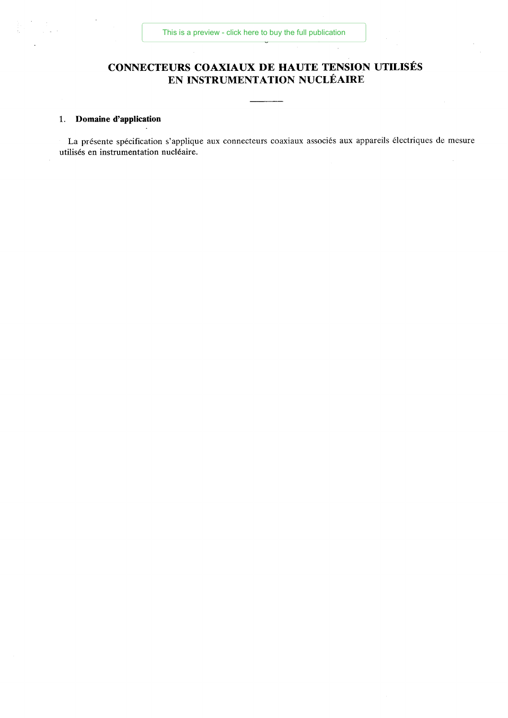# **CONNECTEURS COAXIAUX DE HAUTE TENSION UTILISÉS EN INSTRUMENTATION NUCLÉAIRE**

 $\bar{z}$ 

# 1. **Domaine d'application**

La présente spécification s'applique aux connecteurs coaxiaux associés aux appareils électriques de mesure utilisés en instrumentation nucléaire.